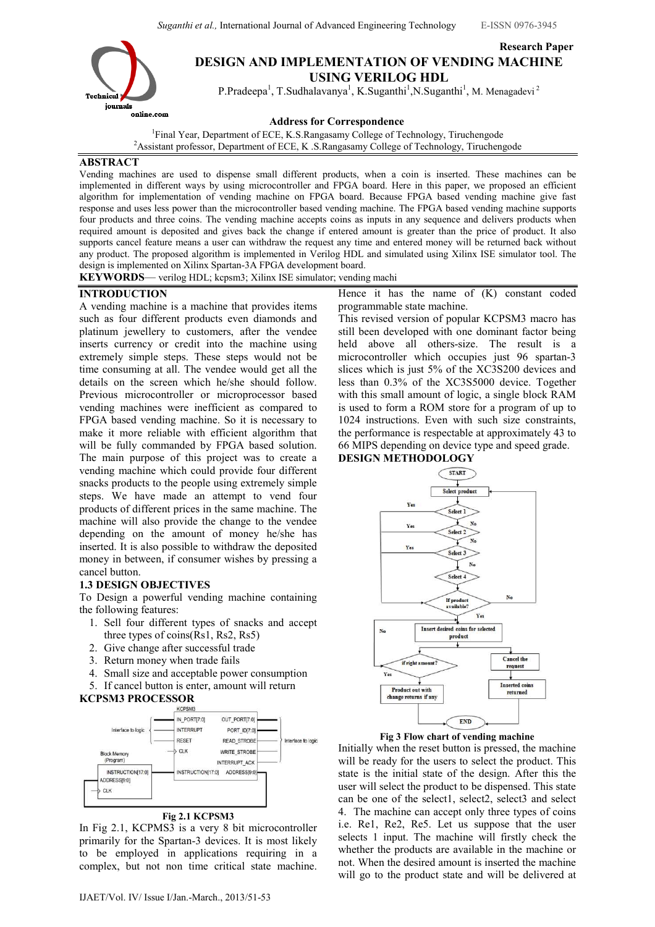Suganthi et al., International Journal of Advanced Engineering Technology E-ISSN 0976-3945

Research Paper



# DESIGN AND IMPLEMENTATION OF VENDING MACHINE USING VERILOG HDL

P.Pradeepa<sup>1</sup>, T.Sudhalavanya<sup>1</sup>, K.Suganthi<sup>1</sup>, N.Suganthi<sup>1</sup>, M. Menagadevi<sup>2</sup>

Address for Correspondence

<sup>1</sup>Final Year, Department of ECE, K.S.Rangasamy College of Technology, Tiruchengode <sup>2</sup>Assistant professor, Department of ECE, K .S.Rangasamy College of Technology, Tiruchengode

### ABSTRACT

Vending machines are used to dispense small different products, when a coin is inserted. These machines can be implemented in different ways by using microcontroller and FPGA board. Here in this paper, we proposed an efficient algorithm for implementation of vending machine on FPGA board. Because FPGA based vending machine give fast response and uses less power than the microcontroller based vending machine. The FPGA based vending machine supports four products and three coins. The vending machine accepts coins as inputs in any sequence and delivers products when required amount is deposited and gives back the change if entered amount is greater than the price of product. It also supports cancel feature means a user can withdraw the request any time and entered money will be returned back without any product. The proposed algorithm is implemented in Verilog HDL and simulated using Xilinx ISE simulator tool. The design is implemented on Xilinx Spartan-3A FPGA development board.

KEYWORDS— verilog HDL; kcpsm3; Xilinx ISE simulator; vending machi

## INTRODUCTION

A vending machine is a machine that provides items such as four different products even diamonds and platinum jewellery to customers, after the vendee inserts currency or credit into the machine using extremely simple steps. These steps would not be time consuming at all. The vendee would get all the details on the screen which he/she should follow. Previous microcontroller or microprocessor based vending machines were inefficient as compared to FPGA based vending machine. So it is necessary to make it more reliable with efficient algorithm that will be fully commanded by FPGA based solution. The main purpose of this project was to create a vending machine which could provide four different snacks products to the people using extremely simple steps. We have made an attempt to vend four products of different prices in the same machine. The machine will also provide the change to the vendee depending on the amount of money he/she has inserted. It is also possible to withdraw the deposited money in between, if consumer wishes by pressing a cancel button.

## 1.3 DESIGN OBJECTIVES

To Design a powerful vending machine containing the following features:

- 1. Sell four different types of snacks and accept three types of coins(Rs1, Rs2, Rs5)
- 2. Give change after successful trade
- 3. Return money when trade fails
- 4. Small size and acceptable power consumption
- 5. If cancel button is enter, amount will return

**KCPSM3 PROCESSOR** 



In Fig 2.1, KCPMS3 is a very 8 bit microcontroller primarily for the Spartan-3 devices. It is most likely to be employed in applications requiring in a complex, but not non time critical state machine.

Hence it has the name of (K) constant coded programmable state machine.

This revised version of popular KCPSM3 macro has still been developed with one dominant factor being held above all others-size. The result is a microcontroller which occupies just 96 spartan-3 slices which is just 5% of the XC3S200 devices and less than 0.3% of the XC3S5000 device. Together with this small amount of logic, a single block RAM is used to form a ROM store for a program of up to 1024 instructions. Even with such size constraints, the performance is respectable at approximately 43 to 66 MIPS depending on device type and speed grade.

## DESIGN METHODOLOGY





Initially when the reset button is pressed, the machine will be ready for the users to select the product. This state is the initial state of the design. After this the user will select the product to be dispensed. This state can be one of the select1, select2, select3 and select 4. The machine can accept only three types of coins i.e. Re1, Re2, Re5. Let us suppose that the user selects 1 input. The machine will firstly check the whether the products are available in the machine or not. When the desired amount is inserted the machine will go to the product state and will be delivered at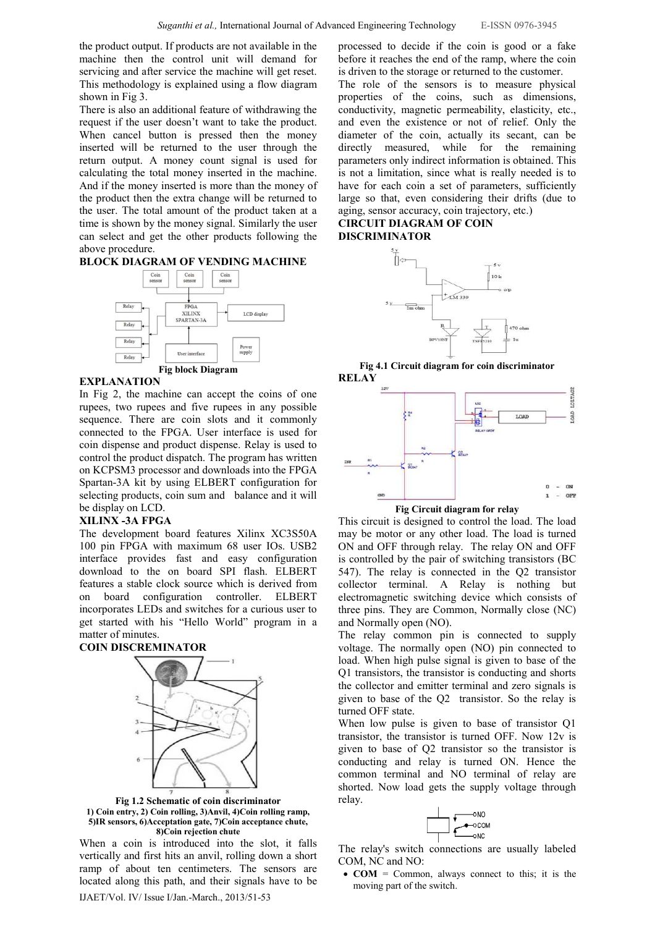the product output. If products are not available in the machine then the control unit will demand for servicing and after service the machine will get reset. This methodology is explained using a flow diagram shown in Fig 3.

There is also an additional feature of withdrawing the request if the user doesn't want to take the product. When cancel button is pressed then the money inserted will be returned to the user through the return output. A money count signal is used for calculating the total money inserted in the machine. And if the money inserted is more than the money of the product then the extra change will be returned to the user. The total amount of the product taken at a time is shown by the money signal. Similarly the user can select and get the other products following the above procedure.

#### BLOCK DIAGRAM OF VENDING MACHINE



#### **EXPLANATION**

In Fig 2, the machine can accept the coins of one rupees, two rupees and five rupees in any possible sequence. There are coin slots and it commonly connected to the FPGA. User interface is used for coin dispense and product dispense. Relay is used to control the product dispatch. The program has written on KCPSM3 processor and downloads into the FPGA Spartan-3A kit by using ELBERT configuration for selecting products, coin sum and balance and it will be display on LCD.

#### XILINX -3A FPGA

The development board features Xilinx XC3S50A 100 pin FPGA with maximum 68 user IOs. USB2 interface provides fast and easy configuration download to the on board SPI flash. ELBERT features a stable clock source which is derived from on board configuration controller. ELBERT incorporates LEDs and switches for a curious user to get started with his "Hello World" program in a matter of minutes.

#### COIN DISCREMINATOR



Fig 1.2 Schematic of coin discriminator 1) Coin entry, 2) Coin rolling, 3)Anvil, 4)Coin rolling ramp, 5)IR sensors, 6)Acceptation gate, 7)Coin acceptance chute, 8)Coin rejection chute

IJAET/Vol. IV/ Issue I/Jan.-March., 2013/51-53 When a coin is introduced into the slot, it falls vertically and first hits an anvil, rolling down a short ramp of about ten centimeters. The sensors are located along this path, and their signals have to be

processed to decide if the coin is good or a fake before it reaches the end of the ramp, where the coin is driven to the storage or returned to the customer.

The role of the sensors is to measure physical properties of the coins, such as dimensions, conductivity, magnetic permeability, elasticity, etc., and even the existence or not of relief. Only the diameter of the coin, actually its secant, can be directly measured, while for the remaining parameters only indirect information is obtained. This is not a limitation, since what is really needed is to have for each coin a set of parameters, sufficiently large so that, even considering their drifts (due to aging, sensor accuracy, coin trajectory, etc.)

## CIRCUIT DIAGRAM OF COIN DISCRIMINATOR



Fig 4.1 Circuit diagram for coin discriminator **RELAY** 





This circuit is designed to control the load. The load may be motor or any other load. The load is turned ON and OFF through relay. The relay ON and OFF is controlled by the pair of switching transistors (BC 547). The relay is connected in the Q2 transistor collector terminal. A Relay is nothing but electromagnetic switching device which consists of three pins. They are Common, Normally close (NC) and Normally open (NO).

The relay common pin is connected to supply voltage. The normally open (NO) pin connected to load. When high pulse signal is given to base of the Q1 transistors, the transistor is conducting and shorts the collector and emitter terminal and zero signals is given to base of the Q2 transistor. So the relay is turned OFF state.

When low pulse is given to base of transistor Q1 transistor, the transistor is turned OFF. Now 12v is given to base of Q2 transistor so the transistor is conducting and relay is turned ON. Hence the common terminal and NO terminal of relay are shorted. Now load gets the supply voltage through relay.



The relay's switch connections are usually labeled COM, NC and NO:

•  $COM = \text{Common},$  always connect to this; it is the moving part of the switch.